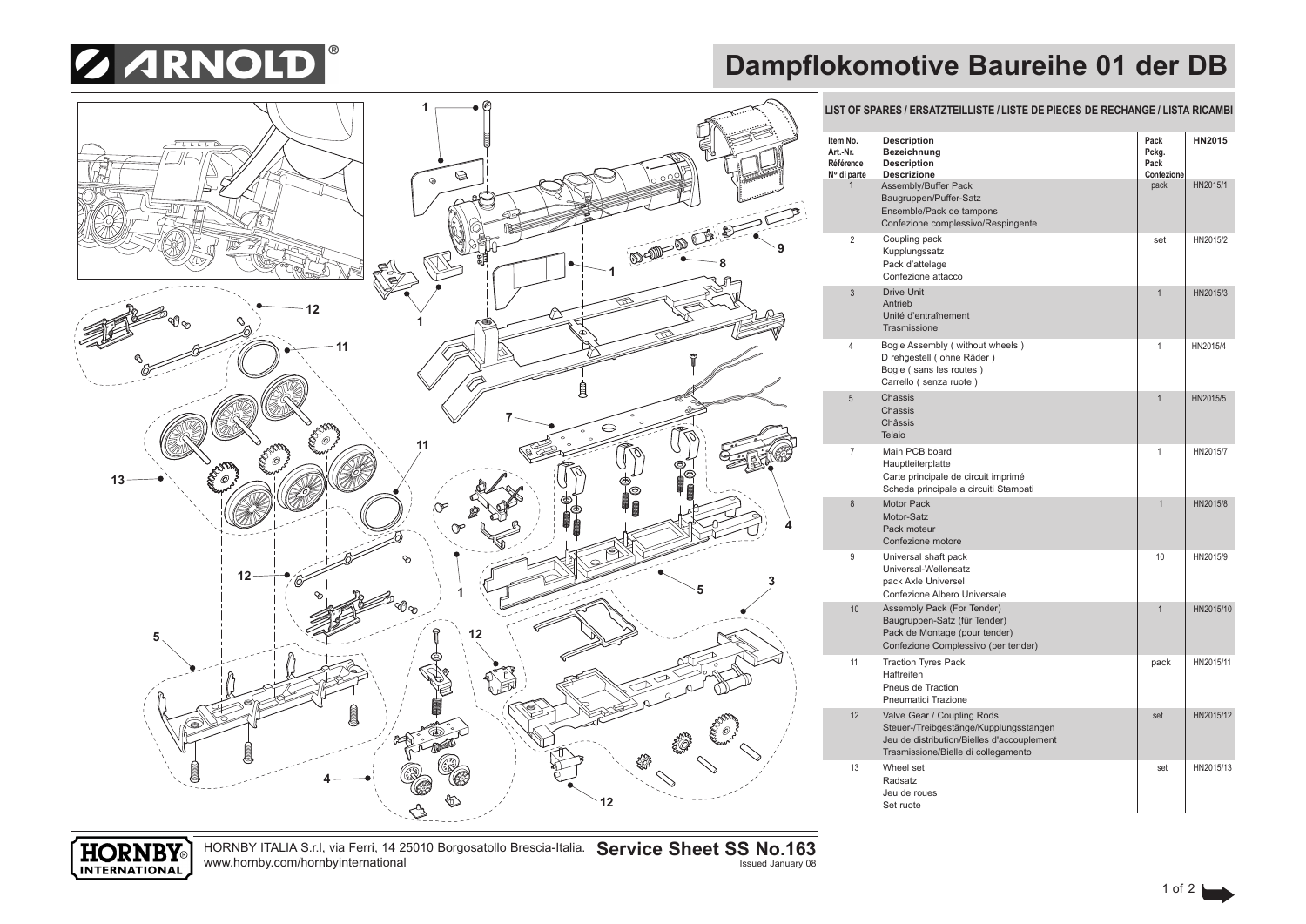

## **Dampflokomotive Baureihe 01 der DB**



www.hornby.com/hornbyinternational

**INTERNATIONAL**